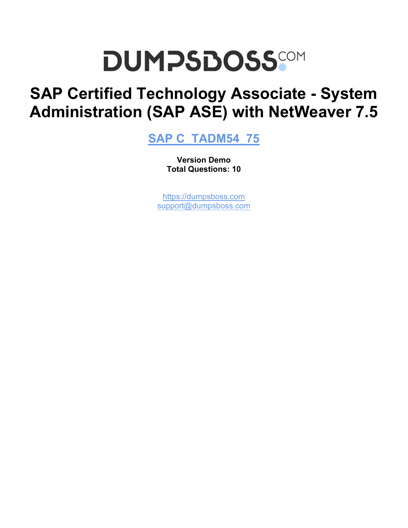# **DUMPSDOSS**COM

## **SAP Certified Technology Associate - System Administration (SAP ASE) with NetWeaver 7.5**

**[SAP C\\_TADM54\\_75](https://dumpsboss.com/sap-exam/c-tadm54-75/)**

**Version Demo Total Questions: 10**

[https://dumpsboss.com](https://dumpsboss.com/) [support@dumpsboss.com](mailto:support@dumpsboss.com)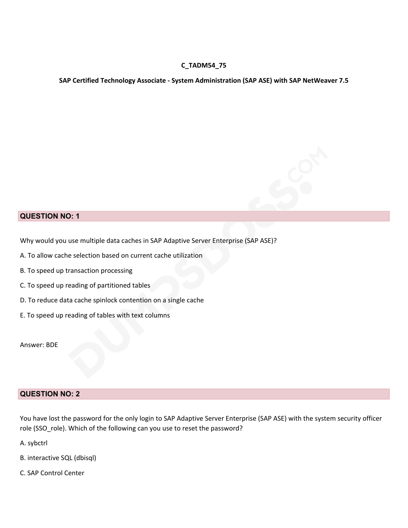### **C\_TADM54\_75**

#### **SAP Certified Technology Associate - System Administration (SAP ASE) with SAP NetWeaver 7.5**



### **QUESTION NO: 1**

Why would you use multiple data caches in SAP Adaptive Server Enterprise (SAP ASE)?

- A. To allow cache selection based on current cache utilization
- B. To speed up transaction processing
- C. To speed up reading of partitioned tables
- D. To reduce data cache spinlock contention on a single cache
- E. To speed up reading of tables with text columns

Answer: BDE

### **QUESTION NO: 2**

You have lost the password for the only login to SAP Adaptive Server Enterprise (SAP ASE) with the system security officer role (SSO\_role). Which of the following can you use to reset the password?

A. sybctrl

- B. interactive SQL (dbisql)
- C. SAP Control Center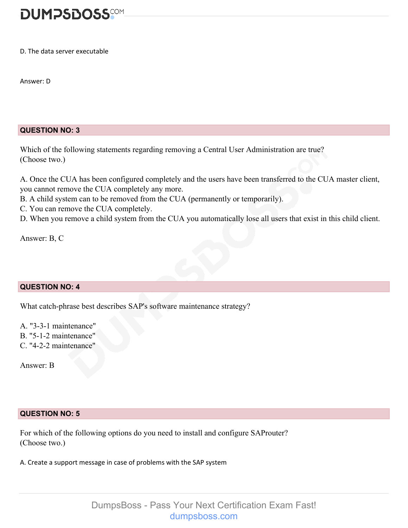

D. The data server executable

Answer: D

### **QUESTION NO: 3**

Which of the following statements regarding removing a Central User Administration are true? (Choose two.)

A. Once the CUA has been configured completely and the users have been transferred to the CUA master client, you cannot remove the CUA completely any more.

- B. A child system can to be removed from the CUA (permanently or temporarily).
- C. You can remove the CUA completely.
- D. When you remove a child system from the CUA you automatically lose all users that exist in this child client.

Answer: B, C

### **QUESTION NO: 4**

What catch-phrase best describes SAP's software maintenance strategy?

A. "3-3-1 maintenance" B. "5-1-2 maintenance"

C. "4-2-2 maintenance"

Answer: B

### **QUESTION NO: 5**

For which of the following options do you need to install and configure SAProuter? (Choose two.)

A. Create a support message in case of problems with the SAP system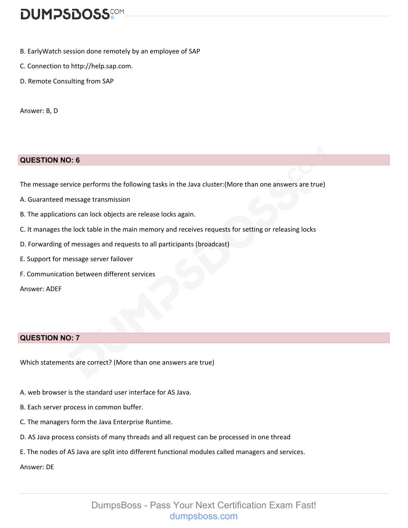### **DUMPSDOSS**COM

- B. EarlyWatch session done remotely by an employee of SAP
- C. Connection to http://help.sap.com.
- D. Remote Consulting from SAP

Answer: B, D

### **QUESTION NO: 6**

The message service performs the following tasks in the Java cluster:(More than one answers are true)

- A. Guaranteed message transmission
- B. The applications can lock objects are release locks again.
- C. It manages the lock table in the main memory and receives requests for setting or releasing locks
- D. Forwarding of messages and requests to all participants (broadcast)
- E. Support for message server failover
- F. Communication between different services

Answer: ADEF

### **QUESTION NO: 7**

Which statements are correct? (More than one answers are true)

- A. web browser is the standard user interface for AS Java.
- B. Each server process in common buffer.
- C. The managers form the Java Enterprise Runtime.
- D. AS Java process consists of many threads and all request can be processed in one thread
- E. The nodes of AS Java are split into different functional modules called managers and services.

Answer: DE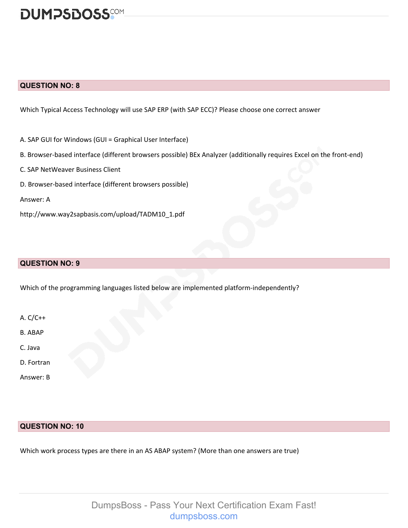

### **QUESTION NO: 8**

Which Typical Access Technology will use SAP ERP (with SAP ECC)? Please choose one correct answer

- A. SAP GUI for Windows (GUI = Graphical User Interface)
- B. Browser-based interface (different browsers possible) BEx Analyzer (additionally requires Excel on the front-end)
- C. SAP NetWeaver Business Client
- D. Browser-based interface (different browsers possible)
- Answer: A
- http://www.way2sapbasis.com/upload/TADM10\_1.pdf

#### **QUESTION NO: 9**

Which of the programming languages listed below are implemented platform-independently?

- A. C/C++
- B. ABAP
- C. Java
- D. Fortran
- Answer: B

### **QUESTION NO: 10**

Which work process types are there in an AS ABAP system? (More than one answers are true)